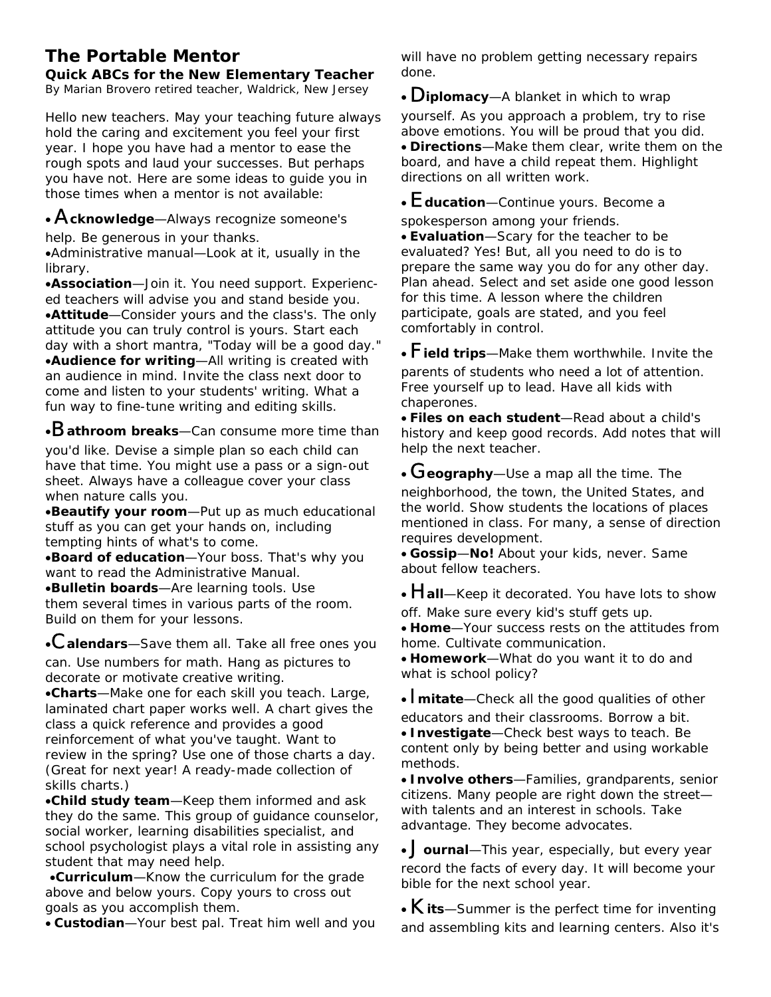## **The Portable Mentor**

**Quick ABCs for the New Elementary Teacher** 

*By Marian Brovero retired teacher, Waldrick, New Jersey* 

Hello new teachers. May your teaching future always hold the caring and excitement you feel your first year. I hope you have had a mentor to ease the rough spots and laud your successes. But perhaps you have not. Here are some ideas to guide you in those times when a mentor is not available:

## • A**cknowledge**—Always recognize someone's

help. Be generous in your thanks.

•Administrative manual—Look at it, usually in the library.

•**Association**—Join it. You need support. Experienced teachers will advise you and stand beside you. •**Attitude**—Consider yours and the class's. The only attitude you can truly control is yours. Start each day with a short mantra, "Today will be a good day." •**Audience for writing**—All writing is created with an audience in mind. Invite the class next door to come and listen to your students' writing. What a fun way to fine-tune writing and editing skills.

•B**athroom breaks**—Can consume more time than

you'd like. Devise a simple plan so each child can have that time. You might use a pass or a sign-out sheet. Always have a colleague cover your class when nature calls you.

•**Beautify your room**—Put up as much educational stuff as you can get your hands on, including tempting hints of what's to come.

•**Board of education**—Your boss. That's why you want to read the Administrative Manual. •**Bulletin boards**—Are learning tools. Use them several times in various parts of the room. Build on them for your lessons.

•C**alendars**—Save them all. Take all free ones you can. Use numbers for math. Hang as pictures to decorate or motivate creative writing.

•**Charts**—Make one for each skill you teach. Large, laminated chart paper works well. A chart gives the class a quick reference and provides a good reinforcement of what you've taught. Want to review in the spring? Use one of those charts a day. (Great for next year! A ready-made collection of skills charts.)

•**Child study team**—Keep them informed and ask they do the same. This group of guidance counselor, social worker, learning disabilities specialist, and school psychologist plays a vital role in assisting any student that may need help.

•**Curriculum**—Know the curriculum for the grade above and below yours. Copy yours to cross out goals as you accomplish them.

• **Custodian**—Your best pal. Treat him well and you

will have no problem getting necessary repairs done.

• D**iplomacy**—A blanket in which to wrap yourself. As you approach a problem, try to rise above emotions. You will be proud that you did. • **Directions**—Make them clear, write them on the board, and have a child repeat them. Highlight directions on all written work.

• E**ducation**—Continue yours. Become a

spokesperson among your friends.

• **Evaluation**—Scary for the teacher to be evaluated? Yes! But, all you need to do is to prepare the same way you do for any other day. Plan ahead. Select and set aside one good lesson for this time. A lesson where the children participate, goals are stated, and you feel comfortably in control.

• F**ield trips**—Make them worthwhile. Invite the parents of students who need a lot of attention. Free yourself up to lead. Have all kids with chaperones.

• **Files on each student**—Read about a child's history and keep good records. Add notes that will help the next teacher.

• G**eography**—Use a map all the time. The neighborhood, the town, the United States, and the world. Show students the locations of places mentioned in class. For many, a sense of direction requires development.

• **Gossip**—**No!** About your kids, never. Same about fellow teachers.

• **Hall**—Keep it decorated. You have lots to show off. Make sure every kid's stuff gets up.

• **Home**—Your success rests on the attitudes from home. Cultivate communication.

• **Homework**—What do you want it to do and what is school policy?

• I**mitate**—Check all the good qualities of other educators and their classrooms. Borrow a bit.

• **Investigate**—Check best ways to teach. Be content only by being better and using workable methods.

• **Involve others**—Families, grandparents, senior citizens. Many people are right down the street with talents and an interest in schools. Take advantage. They become advocates.

• J**ournal**—This year, especially, but every year record the facts of every day. It will become your bible for the next school year.

• K**its**—Summer is the perfect time for inventing and assembling kits and learning centers. Also it's